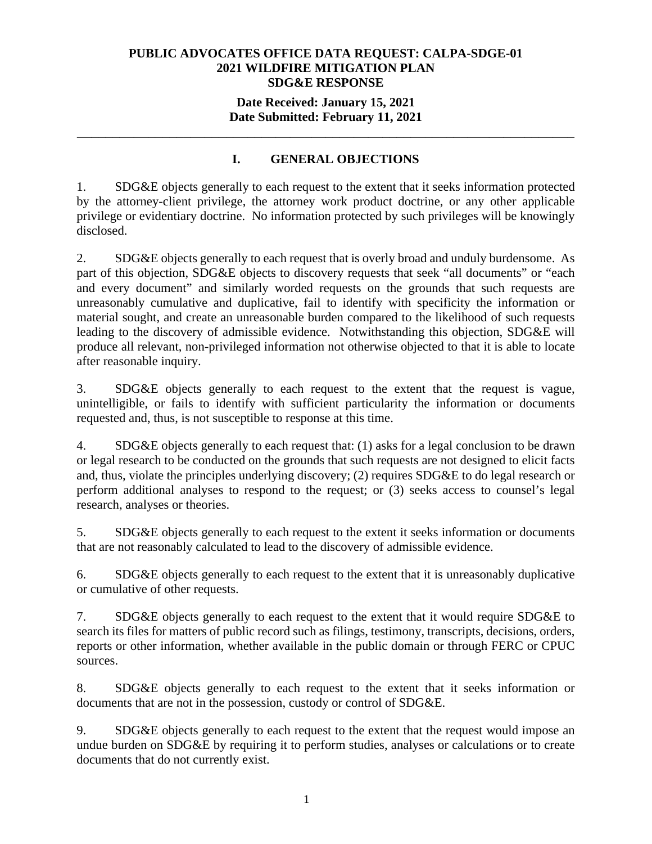## **Date Received: January 15, 2021 Date Submitted: February 11, 2021**

**\_\_\_\_\_\_\_\_\_\_\_\_\_\_\_\_\_\_\_\_\_\_\_\_\_\_\_\_\_\_\_\_\_\_\_\_\_\_\_\_\_\_\_\_\_\_\_\_\_\_\_\_\_\_\_\_\_\_\_\_\_\_\_\_\_\_\_\_\_\_** 

# **I. GENERAL OBJECTIONS**

1. SDG&E objects generally to each request to the extent that it seeks information protected by the attorney-client privilege, the attorney work product doctrine, or any other applicable privilege or evidentiary doctrine. No information protected by such privileges will be knowingly disclosed.

2. SDG&E objects generally to each request that is overly broad and unduly burdensome. As part of this objection, SDG&E objects to discovery requests that seek "all documents" or "each and every document" and similarly worded requests on the grounds that such requests are unreasonably cumulative and duplicative, fail to identify with specificity the information or material sought, and create an unreasonable burden compared to the likelihood of such requests leading to the discovery of admissible evidence. Notwithstanding this objection, SDG&E will produce all relevant, non-privileged information not otherwise objected to that it is able to locate after reasonable inquiry.

3. SDG&E objects generally to each request to the extent that the request is vague, unintelligible, or fails to identify with sufficient particularity the information or documents requested and, thus, is not susceptible to response at this time.

4. SDG&E objects generally to each request that: (1) asks for a legal conclusion to be drawn or legal research to be conducted on the grounds that such requests are not designed to elicit facts and, thus, violate the principles underlying discovery; (2) requires SDG&E to do legal research or perform additional analyses to respond to the request; or (3) seeks access to counsel's legal research, analyses or theories.

5. SDG&E objects generally to each request to the extent it seeks information or documents that are not reasonably calculated to lead to the discovery of admissible evidence.

6. SDG&E objects generally to each request to the extent that it is unreasonably duplicative or cumulative of other requests.

7. SDG&E objects generally to each request to the extent that it would require SDG&E to search its files for matters of public record such as filings, testimony, transcripts, decisions, orders, reports or other information, whether available in the public domain or through FERC or CPUC sources.

8. SDG&E objects generally to each request to the extent that it seeks information or documents that are not in the possession, custody or control of SDG&E.

9. SDG&E objects generally to each request to the extent that the request would impose an undue burden on SDG&E by requiring it to perform studies, analyses or calculations or to create documents that do not currently exist.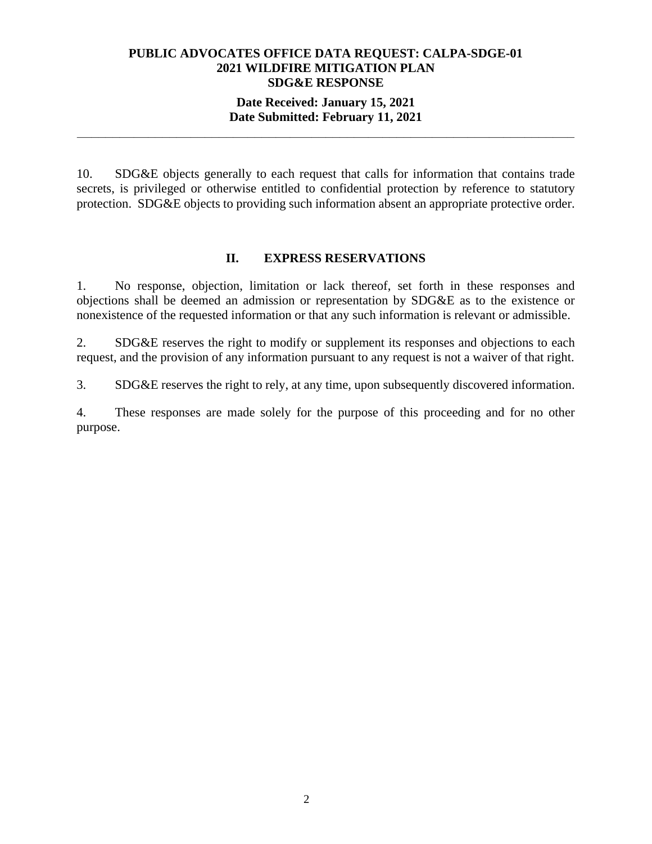## **Date Received: January 15, 2021 Date Submitted: February 11, 2021**

**\_\_\_\_\_\_\_\_\_\_\_\_\_\_\_\_\_\_\_\_\_\_\_\_\_\_\_\_\_\_\_\_\_\_\_\_\_\_\_\_\_\_\_\_\_\_\_\_\_\_\_\_\_\_\_\_\_\_\_\_\_\_\_\_\_\_\_\_\_\_** 

10. SDG&E objects generally to each request that calls for information that contains trade secrets, is privileged or otherwise entitled to confidential protection by reference to statutory protection. SDG&E objects to providing such information absent an appropriate protective order.

## **II. EXPRESS RESERVATIONS**

1. No response, objection, limitation or lack thereof, set forth in these responses and objections shall be deemed an admission or representation by SDG&E as to the existence or nonexistence of the requested information or that any such information is relevant or admissible.

2. SDG&E reserves the right to modify or supplement its responses and objections to each request, and the provision of any information pursuant to any request is not a waiver of that right.

3. SDG&E reserves the right to rely, at any time, upon subsequently discovered information.

4. These responses are made solely for the purpose of this proceeding and for no other purpose.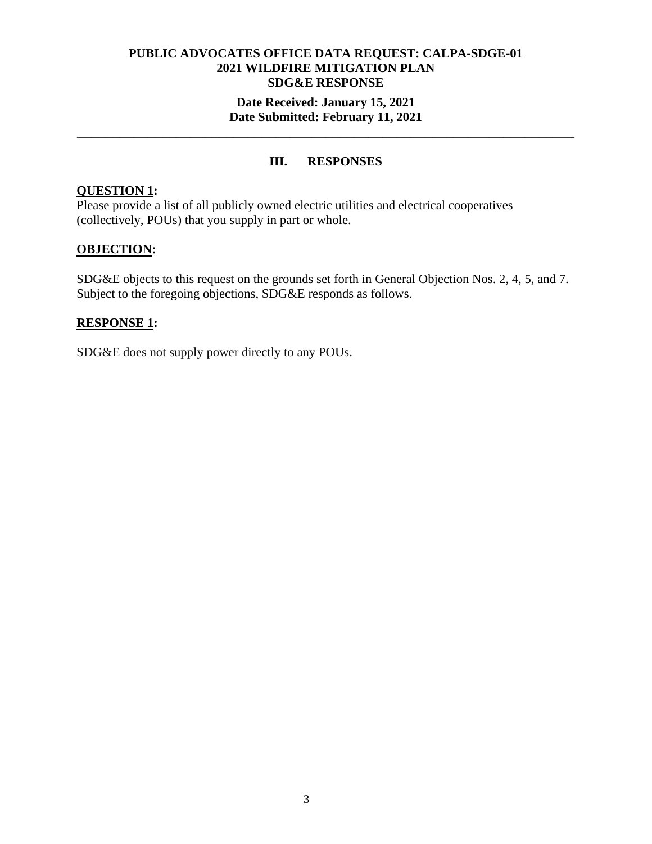### **Date Received: January 15, 2021 Date Submitted: February 11, 2021**

**\_\_\_\_\_\_\_\_\_\_\_\_\_\_\_\_\_\_\_\_\_\_\_\_\_\_\_\_\_\_\_\_\_\_\_\_\_\_\_\_\_\_\_\_\_\_\_\_\_\_\_\_\_\_\_\_\_\_\_\_\_\_\_\_\_\_\_\_\_\_** 

# **III. RESPONSES**

## **QUESTION 1:**

Please provide a list of all publicly owned electric utilities and electrical cooperatives (collectively, POUs) that you supply in part or whole.

## **OBJECTION:**

SDG&E objects to this request on the grounds set forth in General Objection Nos. 2, 4, 5, and 7. Subject to the foregoing objections, SDG&E responds as follows.

## **RESPONSE 1:**

SDG&E does not supply power directly to any POUs.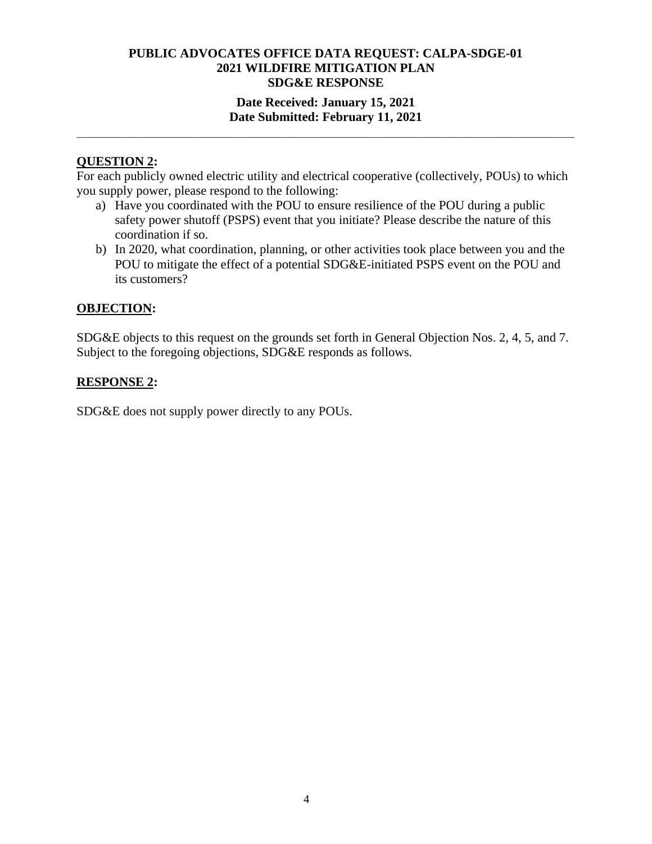## **Date Received: January 15, 2021 Date Submitted: February 11, 2021**

**\_\_\_\_\_\_\_\_\_\_\_\_\_\_\_\_\_\_\_\_\_\_\_\_\_\_\_\_\_\_\_\_\_\_\_\_\_\_\_\_\_\_\_\_\_\_\_\_\_\_\_\_\_\_\_\_\_\_\_\_\_\_\_\_\_\_\_\_\_\_** 

## **QUESTION 2:**

For each publicly owned electric utility and electrical cooperative (collectively, POUs) to which you supply power, please respond to the following:

- a) Have you coordinated with the POU to ensure resilience of the POU during a public safety power shutoff (PSPS) event that you initiate? Please describe the nature of this coordination if so.
- b) In 2020, what coordination, planning, or other activities took place between you and the POU to mitigate the effect of a potential SDG&E-initiated PSPS event on the POU and its customers?

## **OBJECTION:**

SDG&E objects to this request on the grounds set forth in General Objection Nos. 2, 4, 5, and 7. Subject to the foregoing objections, SDG&E responds as follows.

## **RESPONSE 2:**

SDG&E does not supply power directly to any POUs.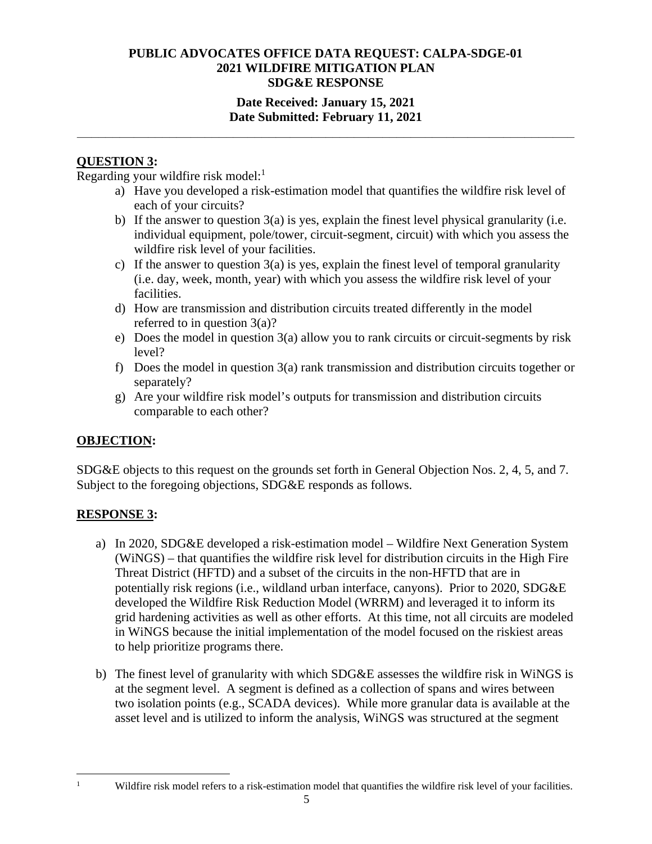## **Date Received: January 15, 2021 Date Submitted: February 11, 2021**

**\_\_\_\_\_\_\_\_\_\_\_\_\_\_\_\_\_\_\_\_\_\_\_\_\_\_\_\_\_\_\_\_\_\_\_\_\_\_\_\_\_\_\_\_\_\_\_\_\_\_\_\_\_\_\_\_\_\_\_\_\_\_\_\_\_\_\_\_\_\_** 

# **QUESTION 3:**

Regarding your wildfire risk model: $<sup>1</sup>$ </sup>

- a) Have you developed a risk-estimation model that quantifies the wildfire risk level of each of your circuits?
- b) If the answer to question 3(a) is yes, explain the finest level physical granularity (i.e. individual equipment, pole/tower, circuit-segment, circuit) with which you assess the wildfire risk level of your facilities.
- c) If the answer to question 3(a) is yes, explain the finest level of temporal granularity (i.e. day, week, month, year) with which you assess the wildfire risk level of your facilities.
- d) How are transmission and distribution circuits treated differently in the model referred to in question 3(a)?
- e) Does the model in question 3(a) allow you to rank circuits or circuit-segments by risk level?
- f) Does the model in question 3(a) rank transmission and distribution circuits together or separately?
- g) Are your wildfire risk model's outputs for transmission and distribution circuits comparable to each other?

## **OBJECTION:**

SDG&E objects to this request on the grounds set forth in General Objection Nos. 2, 4, 5, and 7. Subject to the foregoing objections, SDG&E responds as follows.

## **RESPONSE 3:**

- a) In 2020, SDG&E developed a risk-estimation model Wildfire Next Generation System (WiNGS) – that quantifies the wildfire risk level for distribution circuits in the High Fire Threat District (HFTD) and a subset of the circuits in the non-HFTD that are in potentially risk regions (i.e., wildland urban interface, canyons). Prior to 2020, SDG&E developed the Wildfire Risk Reduction Model (WRRM) and leveraged it to inform its grid hardening activities as well as other efforts. At this time, not all circuits are modeled in WiNGS because the initial implementation of the model focused on the riskiest areas to help prioritize programs there.
- b) The finest level of granularity with which SDG&E assesses the wildfire risk in WiNGS is at the segment level. A segment is defined as a collection of spans and wires between two isolation points (e.g., SCADA devices). While more granular data is available at the asset level and is utilized to inform the analysis, WiNGS was structured at the segment

1

Wildfire risk model refers to a risk-estimation model that quantifies the wildfire risk level of your facilities.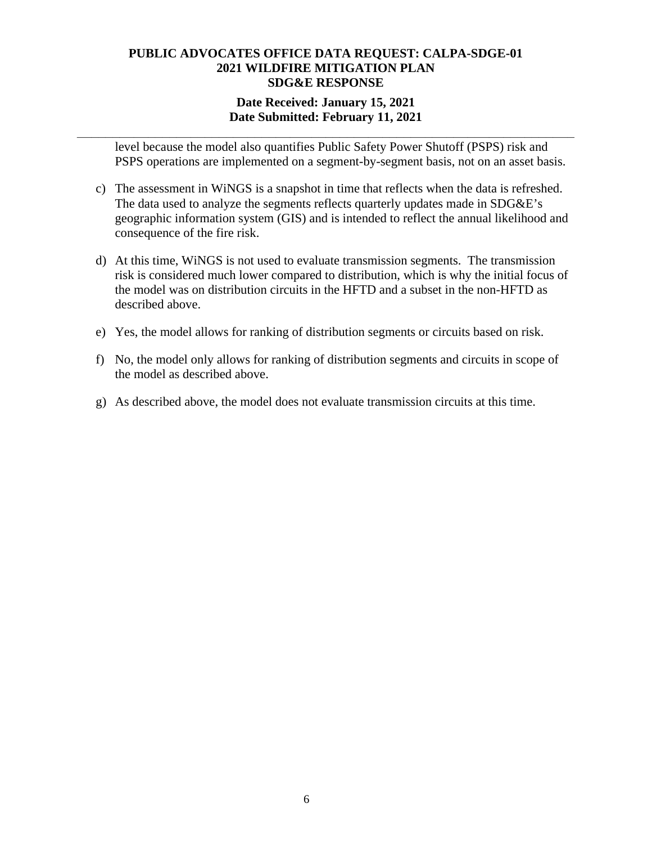## **Date Received: January 15, 2021 Date Submitted: February 11, 2021**

**\_\_\_\_\_\_\_\_\_\_\_\_\_\_\_\_\_\_\_\_\_\_\_\_\_\_\_\_\_\_\_\_\_\_\_\_\_\_\_\_\_\_\_\_\_\_\_\_\_\_\_\_\_\_\_\_\_\_\_\_\_\_\_\_\_\_\_\_\_\_** 

level because the model also quantifies Public Safety Power Shutoff (PSPS) risk and PSPS operations are implemented on a segment-by-segment basis, not on an asset basis.

- c) The assessment in WiNGS is a snapshot in time that reflects when the data is refreshed. The data used to analyze the segments reflects quarterly updates made in SDG&E's geographic information system (GIS) and is intended to reflect the annual likelihood and consequence of the fire risk.
- d) At this time, WiNGS is not used to evaluate transmission segments. The transmission risk is considered much lower compared to distribution, which is why the initial focus of the model was on distribution circuits in the HFTD and a subset in the non-HFTD as described above.
- e) Yes, the model allows for ranking of distribution segments or circuits based on risk.
- f) No, the model only allows for ranking of distribution segments and circuits in scope of the model as described above.
- g) As described above, the model does not evaluate transmission circuits at this time.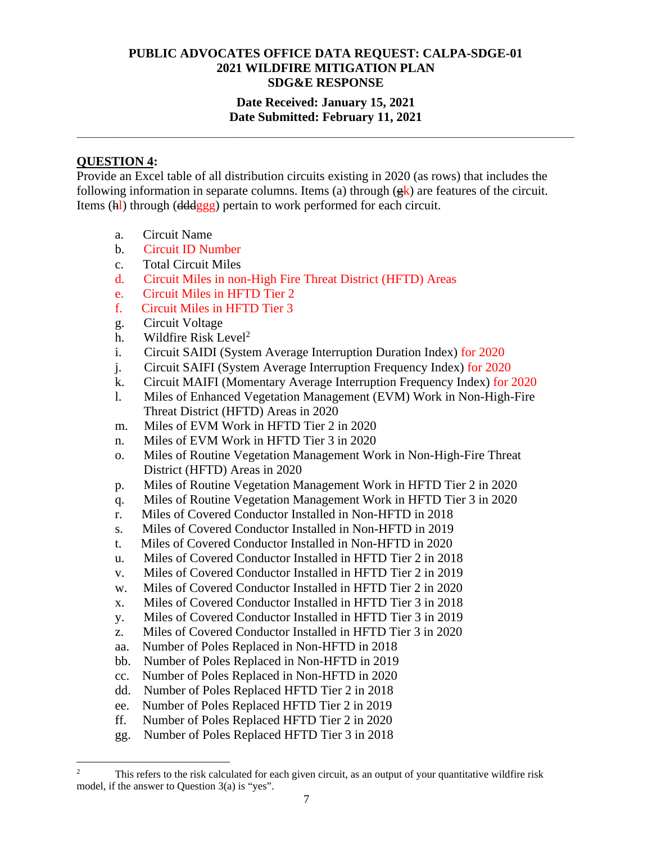## **Date Received: January 15, 2021 Date Submitted: February 11, 2021**

**\_\_\_\_\_\_\_\_\_\_\_\_\_\_\_\_\_\_\_\_\_\_\_\_\_\_\_\_\_\_\_\_\_\_\_\_\_\_\_\_\_\_\_\_\_\_\_\_\_\_\_\_\_\_\_\_\_\_\_\_\_\_\_\_\_\_\_\_\_\_** 

### **QUESTION 4:**

Provide an Excel table of all distribution circuits existing in 2020 (as rows) that includes the following information in separate columns. Items (a) through  $(\frac{\alpha}{\epsilon})$  are features of the circuit. Items (hl) through (dddggg) pertain to work performed for each circuit.

- a. Circuit Name
- b. Circuit ID Number
- c. Total Circuit Miles
- d. Circuit Miles in non-High Fire Threat District (HFTD) Areas
- e. Circuit Miles in HFTD Tier 2
- f. Circuit Miles in HFTD Tier 3
- g. Circuit Voltage
- h. Wildfire Risk Level<sup>2</sup>
- i. Circuit SAIDI (System Average Interruption Duration Index) for 2020
- j. Circuit SAIFI (System Average Interruption Frequency Index) for 2020
- k. Circuit MAIFI (Momentary Average Interruption Frequency Index) for 2020
- l. Miles of Enhanced Vegetation Management (EVM) Work in Non-High-Fire Threat District (HFTD) Areas in 2020
- m. Miles of EVM Work in HFTD Tier 2 in 2020
- n. Miles of EVM Work in HFTD Tier 3 in 2020
- o. Miles of Routine Vegetation Management Work in Non-High-Fire Threat District (HFTD) Areas in 2020
- p. Miles of Routine Vegetation Management Work in HFTD Tier 2 in 2020
- q. Miles of Routine Vegetation Management Work in HFTD Tier 3 in 2020
- r. Miles of Covered Conductor Installed in Non-HFTD in 2018
- s. Miles of Covered Conductor Installed in Non-HFTD in 2019
- t. Miles of Covered Conductor Installed in Non-HFTD in 2020
- u. Miles of Covered Conductor Installed in HFTD Tier 2 in 2018
- v. Miles of Covered Conductor Installed in HFTD Tier 2 in 2019
- w. Miles of Covered Conductor Installed in HFTD Tier 2 in 2020
- x. Miles of Covered Conductor Installed in HFTD Tier 3 in 2018
- y. Miles of Covered Conductor Installed in HFTD Tier 3 in 2019
- z. Miles of Covered Conductor Installed in HFTD Tier 3 in 2020
- aa. Number of Poles Replaced in Non-HFTD in 2018
- bb. Number of Poles Replaced in Non-HFTD in 2019
- cc. Number of Poles Replaced in Non-HFTD in 2020
- dd. Number of Poles Replaced HFTD Tier 2 in 2018
- ee. Number of Poles Replaced HFTD Tier 2 in 2019
- ff. Number of Poles Replaced HFTD Tier 2 in 2020
- gg. Number of Poles Replaced HFTD Tier 3 in 2018

<sup>2</sup> This refers to the risk calculated for each given circuit, as an output of your quantitative wildfire risk model, if the answer to Question 3(a) is "yes".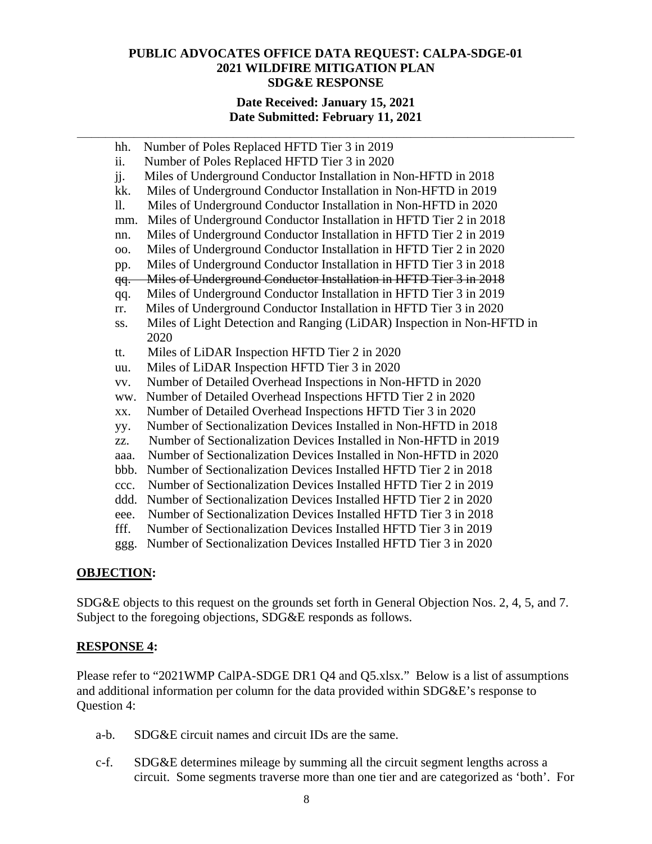#### **Date Received: January 15, 2021 Date Submitted: February 11, 2021**

**\_\_\_\_\_\_\_\_\_\_\_\_\_\_\_\_\_\_\_\_\_\_\_\_\_\_\_\_\_\_\_\_\_\_\_\_\_\_\_\_\_\_\_\_\_\_\_\_\_\_\_\_\_\_\_\_\_\_\_\_\_\_\_\_\_\_\_\_\_\_** 

| hh.            | Number of Poles Replaced HFTD Tier 3 in 2019                           |
|----------------|------------------------------------------------------------------------|
| ii.            | Number of Poles Replaced HFTD Tier 3 in 2020                           |
| jj.            | Miles of Underground Conductor Installation in Non-HFTD in 2018        |
| kk.            | Miles of Underground Conductor Installation in Non-HFTD in 2019        |
| 11.            | Miles of Underground Conductor Installation in Non-HFTD in 2020        |
| mm.            | Miles of Underground Conductor Installation in HFTD Tier 2 in 2018     |
| nn.            | Miles of Underground Conductor Installation in HFTD Tier 2 in 2019     |
| 00.            | Miles of Underground Conductor Installation in HFTD Tier 2 in 2020     |
| pp.            | Miles of Underground Conductor Installation in HFTD Tier 3 in 2018     |
| <del>qq.</del> | Miles of Underground Conductor Installation in HFTD Tier 3 in 2018     |
| qq.            | Miles of Underground Conductor Installation in HFTD Tier 3 in 2019     |
| rr.            | Miles of Underground Conductor Installation in HFTD Tier 3 in 2020     |
| SS.            | Miles of Light Detection and Ranging (LiDAR) Inspection in Non-HFTD in |
|                | 2020                                                                   |
| tt.            | Miles of LiDAR Inspection HFTD Tier 2 in 2020                          |
| uu.            | Miles of LiDAR Inspection HFTD Tier 3 in 2020                          |
| VV.            | Number of Detailed Overhead Inspections in Non-HFTD in 2020            |
| ww.            | Number of Detailed Overhead Inspections HFTD Tier 2 in 2020            |
| XX.            | Number of Detailed Overhead Inspections HFTD Tier 3 in 2020            |
| yy.            | Number of Sectionalization Devices Installed in Non-HFTD in 2018       |
| ZZ.            | Number of Sectionalization Devices Installed in Non-HFTD in 2019       |
| aaa.           | Number of Sectionalization Devices Installed in Non-HFTD in 2020       |
| bbb.           | Number of Sectionalization Devices Installed HFTD Tier 2 in 2018       |
| ccc.           | Number of Sectionalization Devices Installed HFTD Tier 2 in 2019       |
| ddd.           | Number of Sectionalization Devices Installed HFTD Tier 2 in 2020       |
| eee.           | Number of Sectionalization Devices Installed HFTD Tier 3 in 2018       |
| fff.           | Number of Sectionalization Devices Installed HFTD Tier 3 in 2019       |

ggg. Number of Sectionalization Devices Installed HFTD Tier 3 in 2020

#### **OBJECTION:**

SDG&E objects to this request on the grounds set forth in General Objection Nos. 2, 4, 5, and 7. Subject to the foregoing objections, SDG&E responds as follows.

#### **RESPONSE 4:**

Please refer to "2021WMP CalPA-SDGE DR1 Q4 and Q5.xlsx." Below is a list of assumptions and additional information per column for the data provided within SDG&E's response to Question 4:

- a-b. SDG&E circuit names and circuit IDs are the same.
- c-f. SDG&E determines mileage by summing all the circuit segment lengths across a circuit. Some segments traverse more than one tier and are categorized as 'both'. For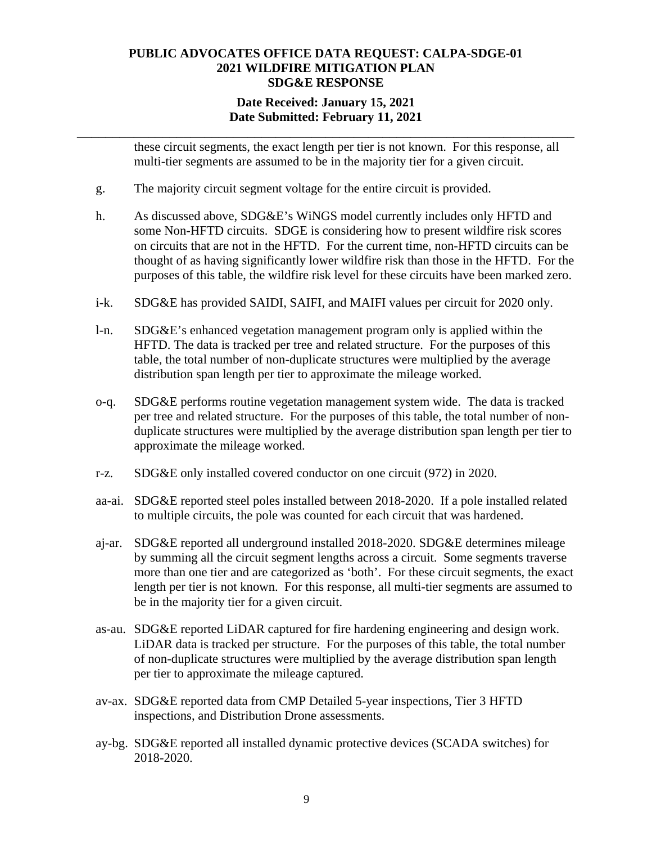## **Date Received: January 15, 2021 Date Submitted: February 11, 2021**

**\_\_\_\_\_\_\_\_\_\_\_\_\_\_\_\_\_\_\_\_\_\_\_\_\_\_\_\_\_\_\_\_\_\_\_\_\_\_\_\_\_\_\_\_\_\_\_\_\_\_\_\_\_\_\_\_\_\_\_\_\_\_\_\_\_\_\_\_\_\_** 

these circuit segments, the exact length per tier is not known. For this response, all multi-tier segments are assumed to be in the majority tier for a given circuit.

- g. The majority circuit segment voltage for the entire circuit is provided.
- h. As discussed above, SDG&E's WiNGS model currently includes only HFTD and some Non-HFTD circuits. SDGE is considering how to present wildfire risk scores on circuits that are not in the HFTD. For the current time, non-HFTD circuits can be thought of as having significantly lower wildfire risk than those in the HFTD. For the purposes of this table, the wildfire risk level for these circuits have been marked zero.
- i-k. SDG&E has provided SAIDI, SAIFI, and MAIFI values per circuit for 2020 only.
- l-n. SDG&E's enhanced vegetation management program only is applied within the HFTD. The data is tracked per tree and related structure. For the purposes of this table, the total number of non-duplicate structures were multiplied by the average distribution span length per tier to approximate the mileage worked.
- o-q. SDG&E performs routine vegetation management system wide. The data is tracked per tree and related structure. For the purposes of this table, the total number of nonduplicate structures were multiplied by the average distribution span length per tier to approximate the mileage worked.
- r-z. SDG&E only installed covered conductor on one circuit (972) in 2020.
- aa-ai. SDG&E reported steel poles installed between 2018-2020. If a pole installed related to multiple circuits, the pole was counted for each circuit that was hardened.
- aj-ar. SDG&E reported all underground installed 2018-2020. SDG&E determines mileage by summing all the circuit segment lengths across a circuit. Some segments traverse more than one tier and are categorized as 'both'. For these circuit segments, the exact length per tier is not known. For this response, all multi-tier segments are assumed to be in the majority tier for a given circuit.
- as-au. SDG&E reported LiDAR captured for fire hardening engineering and design work. LiDAR data is tracked per structure. For the purposes of this table, the total number of non-duplicate structures were multiplied by the average distribution span length per tier to approximate the mileage captured.
- av-ax. SDG&E reported data from CMP Detailed 5-year inspections, Tier 3 HFTD inspections, and Distribution Drone assessments.
- ay-bg. SDG&E reported all installed dynamic protective devices (SCADA switches) for 2018-2020.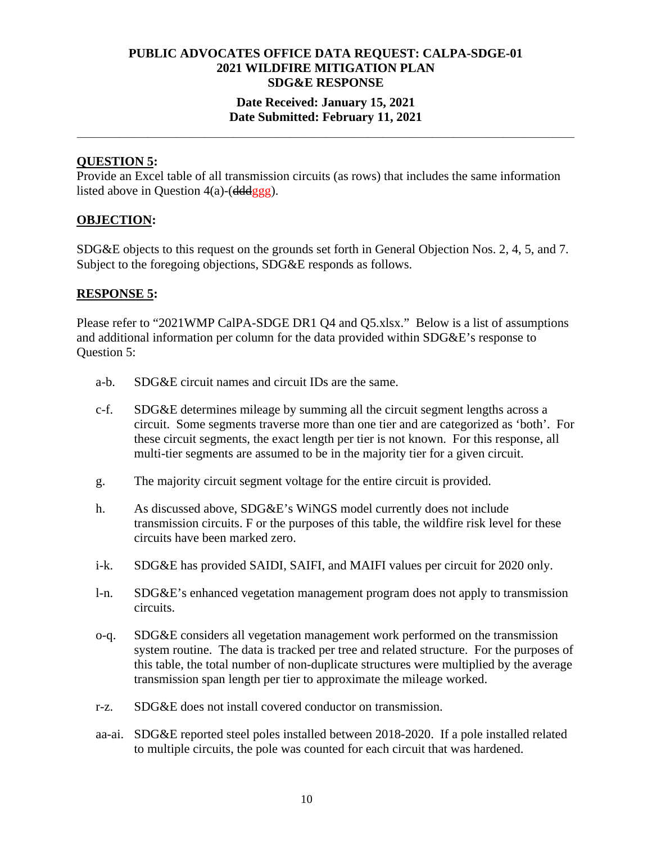## **Date Received: January 15, 2021 Date Submitted: February 11, 2021**

**\_\_\_\_\_\_\_\_\_\_\_\_\_\_\_\_\_\_\_\_\_\_\_\_\_\_\_\_\_\_\_\_\_\_\_\_\_\_\_\_\_\_\_\_\_\_\_\_\_\_\_\_\_\_\_\_\_\_\_\_\_\_\_\_\_\_\_\_\_\_** 

#### **QUESTION 5:**

Provide an Excel table of all transmission circuits (as rows) that includes the same information listed above in Question  $4(a)$ -( $\frac{dddggg}{dt}$ ).

#### **OBJECTION:**

SDG&E objects to this request on the grounds set forth in General Objection Nos. 2, 4, 5, and 7. Subject to the foregoing objections, SDG&E responds as follows.

#### **RESPONSE 5:**

Please refer to "2021WMP CalPA-SDGE DR1 Q4 and Q5.xlsx." Below is a list of assumptions and additional information per column for the data provided within SDG&E's response to Question 5:

- a-b. SDG&E circuit names and circuit IDs are the same.
- c-f. SDG&E determines mileage by summing all the circuit segment lengths across a circuit. Some segments traverse more than one tier and are categorized as 'both'. For these circuit segments, the exact length per tier is not known. For this response, all multi-tier segments are assumed to be in the majority tier for a given circuit.
- g. The majority circuit segment voltage for the entire circuit is provided.
- h. As discussed above, SDG&E's WiNGS model currently does not include transmission circuits. F or the purposes of this table, the wildfire risk level for these circuits have been marked zero.
- i-k. SDG&E has provided SAIDI, SAIFI, and MAIFI values per circuit for 2020 only.
- l-n. SDG&E's enhanced vegetation management program does not apply to transmission circuits.
- o-q. SDG&E considers all vegetation management work performed on the transmission system routine. The data is tracked per tree and related structure. For the purposes of this table, the total number of non-duplicate structures were multiplied by the average transmission span length per tier to approximate the mileage worked.
- r-z. SDG&E does not install covered conductor on transmission.
- aa-ai. SDG&E reported steel poles installed between 2018-2020. If a pole installed related to multiple circuits, the pole was counted for each circuit that was hardened.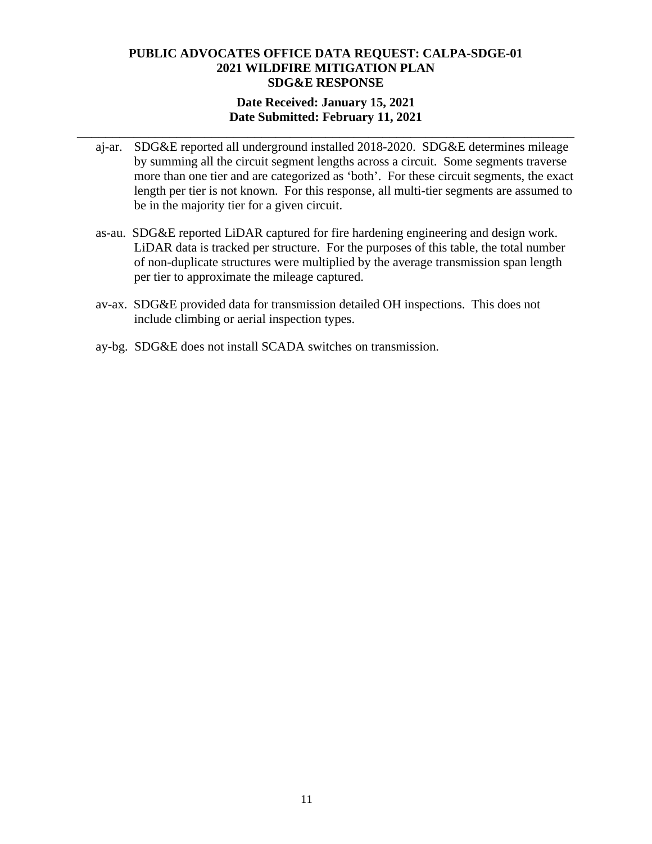### **Date Received: January 15, 2021 Date Submitted: February 11, 2021**

**\_\_\_\_\_\_\_\_\_\_\_\_\_\_\_\_\_\_\_\_\_\_\_\_\_\_\_\_\_\_\_\_\_\_\_\_\_\_\_\_\_\_\_\_\_\_\_\_\_\_\_\_\_\_\_\_\_\_\_\_\_\_\_\_\_\_\_\_\_\_** 

- aj-ar. SDG&E reported all underground installed 2018-2020. SDG&E determines mileage by summing all the circuit segment lengths across a circuit. Some segments traverse more than one tier and are categorized as 'both'. For these circuit segments, the exact length per tier is not known. For this response, all multi-tier segments are assumed to be in the majority tier for a given circuit.
- as-au. SDG&E reported LiDAR captured for fire hardening engineering and design work. LiDAR data is tracked per structure. For the purposes of this table, the total number of non-duplicate structures were multiplied by the average transmission span length per tier to approximate the mileage captured.
- av-ax. SDG&E provided data for transmission detailed OH inspections. This does not include climbing or aerial inspection types.
- ay-bg. SDG&E does not install SCADA switches on transmission.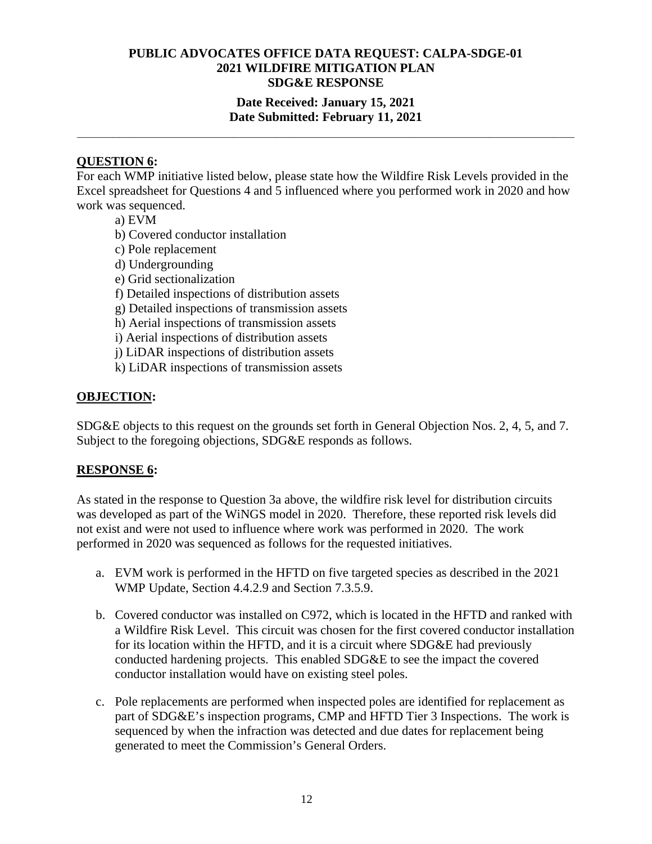## **Date Received: January 15, 2021 Date Submitted: February 11, 2021**

**\_\_\_\_\_\_\_\_\_\_\_\_\_\_\_\_\_\_\_\_\_\_\_\_\_\_\_\_\_\_\_\_\_\_\_\_\_\_\_\_\_\_\_\_\_\_\_\_\_\_\_\_\_\_\_\_\_\_\_\_\_\_\_\_\_\_\_\_\_\_** 

## **QUESTION 6:**

For each WMP initiative listed below, please state how the Wildfire Risk Levels provided in the Excel spreadsheet for Questions 4 and 5 influenced where you performed work in 2020 and how work was sequenced.

- a) EVM
- b) Covered conductor installation
- c) Pole replacement
- d) Undergrounding
- e) Grid sectionalization
- f) Detailed inspections of distribution assets
- g) Detailed inspections of transmission assets
- h) Aerial inspections of transmission assets
- i) Aerial inspections of distribution assets
- j) LiDAR inspections of distribution assets
- k) LiDAR inspections of transmission assets

## **OBJECTION:**

SDG&E objects to this request on the grounds set forth in General Objection Nos. 2, 4, 5, and 7. Subject to the foregoing objections, SDG&E responds as follows.

## **RESPONSE 6:**

As stated in the response to Question 3a above, the wildfire risk level for distribution circuits was developed as part of the WiNGS model in 2020. Therefore, these reported risk levels did not exist and were not used to influence where work was performed in 2020. The work performed in 2020 was sequenced as follows for the requested initiatives.

- a. EVM work is performed in the HFTD on five targeted species as described in the 2021 WMP Update, Section 4.4.2.9 and Section 7.3.5.9.
- b. Covered conductor was installed on C972, which is located in the HFTD and ranked with a Wildfire Risk Level. This circuit was chosen for the first covered conductor installation for its location within the HFTD, and it is a circuit where SDG&E had previously conducted hardening projects. This enabled SDG&E to see the impact the covered conductor installation would have on existing steel poles.
- c. Pole replacements are performed when inspected poles are identified for replacement as part of SDG&E's inspection programs, CMP and HFTD Tier 3 Inspections. The work is sequenced by when the infraction was detected and due dates for replacement being generated to meet the Commission's General Orders.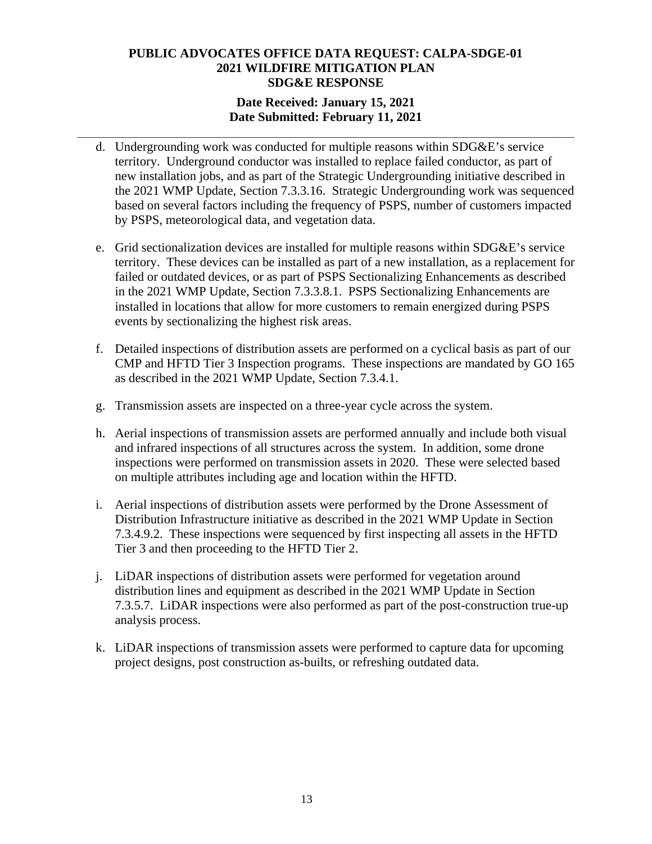## **Date Received: January 15, 2021 Date Submitted: February 11, 2021**

**\_\_\_\_\_\_\_\_\_\_\_\_\_\_\_\_\_\_\_\_\_\_\_\_\_\_\_\_\_\_\_\_\_\_\_\_\_\_\_\_\_\_\_\_\_\_\_\_\_\_\_\_\_\_\_\_\_\_\_\_\_\_\_\_\_\_\_\_\_\_** 

- d. Undergrounding work was conducted for multiple reasons within SDG&E's service territory. Underground conductor was installed to replace failed conductor, as part of new installation jobs, and as part of the Strategic Undergrounding initiative described in the 2021 WMP Update, Section 7.3.3.16. Strategic Undergrounding work was sequenced based on several factors including the frequency of PSPS, number of customers impacted by PSPS, meteorological data, and vegetation data.
- e. Grid sectionalization devices are installed for multiple reasons within SDG&E's service territory. These devices can be installed as part of a new installation, as a replacement for failed or outdated devices, or as part of PSPS Sectionalizing Enhancements as described in the 2021 WMP Update, Section 7.3.3.8.1. PSPS Sectionalizing Enhancements are installed in locations that allow for more customers to remain energized during PSPS events by sectionalizing the highest risk areas.
- f. Detailed inspections of distribution assets are performed on a cyclical basis as part of our CMP and HFTD Tier 3 Inspection programs. These inspections are mandated by GO 165 as described in the 2021 WMP Update, Section 7.3.4.1.
- g. Transmission assets are inspected on a three-year cycle across the system.
- h. Aerial inspections of transmission assets are performed annually and include both visual and infrared inspections of all structures across the system. In addition, some drone inspections were performed on transmission assets in 2020. These were selected based on multiple attributes including age and location within the HFTD.
- i. Aerial inspections of distribution assets were performed by the Drone Assessment of Distribution Infrastructure initiative as described in the 2021 WMP Update in Section 7.3.4.9.2. These inspections were sequenced by first inspecting all assets in the HFTD Tier 3 and then proceeding to the HFTD Tier 2.
- j. LiDAR inspections of distribution assets were performed for vegetation around distribution lines and equipment as described in the 2021 WMP Update in Section 7.3.5.7. LiDAR inspections were also performed as part of the post-construction true-up analysis process.
- k. LiDAR inspections of transmission assets were performed to capture data for upcoming project designs, post construction as-builts, or refreshing outdated data.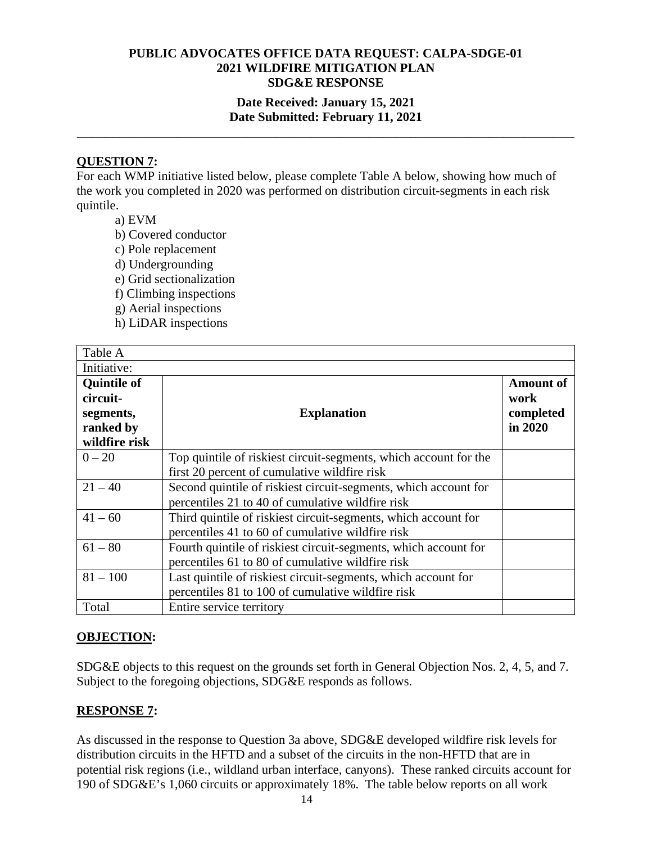## **Date Received: January 15, 2021 Date Submitted: February 11, 2021**

**\_\_\_\_\_\_\_\_\_\_\_\_\_\_\_\_\_\_\_\_\_\_\_\_\_\_\_\_\_\_\_\_\_\_\_\_\_\_\_\_\_\_\_\_\_\_\_\_\_\_\_\_\_\_\_\_\_\_\_\_\_\_\_\_\_\_\_\_\_\_** 

## **QUESTION 7:**

For each WMP initiative listed below, please complete Table A below, showing how much of the work you completed in 2020 was performed on distribution circuit-segments in each risk quintile.

- a) EVM
- b) Covered conductor
- c) Pole replacement
- d) Undergrounding
- e) Grid sectionalization
- f) Climbing inspections
- g) Aerial inspections
- h) LiDAR inspections

| Table A                                                  |                                                                                                                     |                                                  |
|----------------------------------------------------------|---------------------------------------------------------------------------------------------------------------------|--------------------------------------------------|
| Initiative:                                              |                                                                                                                     |                                                  |
| <b>Quintile of</b><br>circuit-<br>segments,<br>ranked by | <b>Explanation</b>                                                                                                  | <b>Amount of</b><br>work<br>completed<br>in 2020 |
| wildfire risk<br>$0 - 20$                                | Top quintile of riskiest circuit-segments, which account for the                                                    |                                                  |
|                                                          | first 20 percent of cumulative wildfire risk                                                                        |                                                  |
| $21 - 40$                                                | Second quintile of riskiest circuit-segments, which account for<br>percentiles 21 to 40 of cumulative wildfire risk |                                                  |
| $41 - 60$                                                | Third quintile of riskiest circuit-segments, which account for<br>percentiles 41 to 60 of cumulative wildfire risk  |                                                  |
| $61 - 80$                                                | Fourth quintile of riskiest circuit-segments, which account for<br>percentiles 61 to 80 of cumulative wildfire risk |                                                  |
| $81 - 100$                                               | Last quintile of riskiest circuit-segments, which account for<br>percentiles 81 to 100 of cumulative wildfire risk  |                                                  |
| Total                                                    | Entire service territory                                                                                            |                                                  |

## **OBJECTION:**

SDG&E objects to this request on the grounds set forth in General Objection Nos. 2, 4, 5, and 7. Subject to the foregoing objections, SDG&E responds as follows.

#### **RESPONSE 7:**

As discussed in the response to Question 3a above, SDG&E developed wildfire risk levels for distribution circuits in the HFTD and a subset of the circuits in the non-HFTD that are in potential risk regions (i.e., wildland urban interface, canyons). These ranked circuits account for 190 of SDG&E's 1,060 circuits or approximately 18%. The table below reports on all work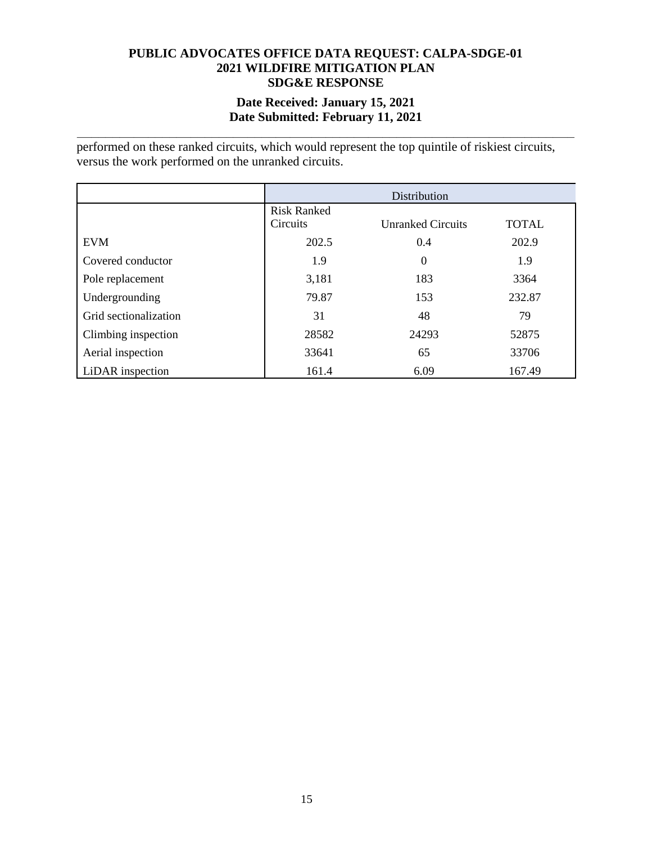### **Date Received: January 15, 2021 Date Submitted: February 11, 2021**

**\_\_\_\_\_\_\_\_\_\_\_\_\_\_\_\_\_\_\_\_\_\_\_\_\_\_\_\_\_\_\_\_\_\_\_\_\_\_\_\_\_\_\_\_\_\_\_\_\_\_\_\_\_\_\_\_\_\_\_\_\_\_\_\_\_\_\_\_\_\_** 

performed on these ranked circuits, which would represent the top quintile of riskiest circuits, versus the work performed on the unranked circuits.

|                       | Distribution                   |                          |              |
|-----------------------|--------------------------------|--------------------------|--------------|
|                       | <b>Risk Ranked</b><br>Circuits | <b>Unranked Circuits</b> | <b>TOTAL</b> |
| <b>EVM</b>            | 202.5                          | 0.4                      | 202.9        |
| Covered conductor     | 1.9                            | $\Omega$                 | 1.9          |
| Pole replacement      | 3,181                          | 183                      | 3364         |
| Undergrounding        | 79.87                          | 153                      | 232.87       |
| Grid sectionalization | 31                             | 48                       | 79           |
| Climbing inspection   | 28582                          | 24293                    | 52875        |
| Aerial inspection     | 33641                          | 65                       | 33706        |
| LiDAR inspection      | 161.4                          | 6.09                     | 167.49       |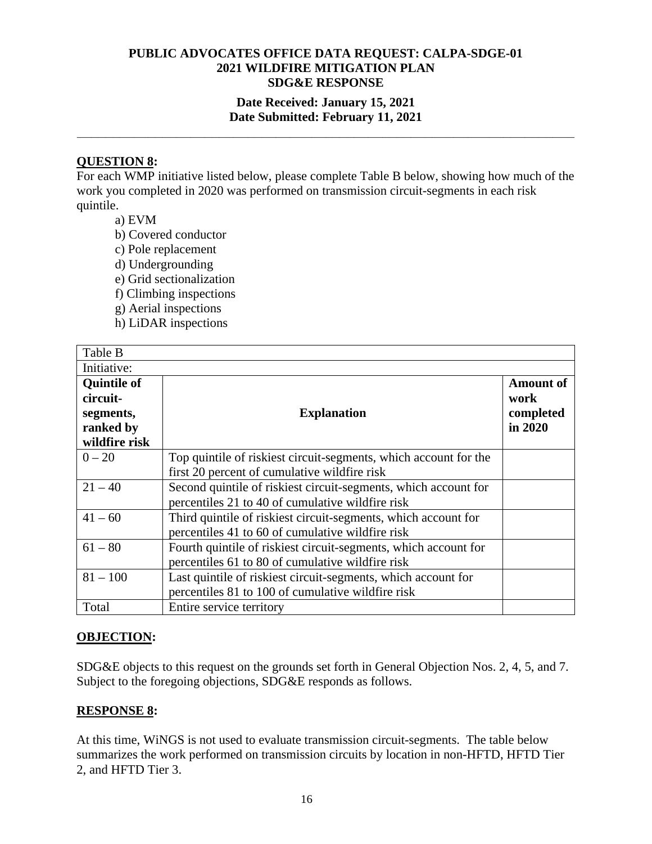## **Date Received: January 15, 2021 Date Submitted: February 11, 2021**

**\_\_\_\_\_\_\_\_\_\_\_\_\_\_\_\_\_\_\_\_\_\_\_\_\_\_\_\_\_\_\_\_\_\_\_\_\_\_\_\_\_\_\_\_\_\_\_\_\_\_\_\_\_\_\_\_\_\_\_\_\_\_\_\_\_\_\_\_\_\_** 

## **QUESTION 8:**

For each WMP initiative listed below, please complete Table B below, showing how much of the work you completed in 2020 was performed on transmission circuit-segments in each risk quintile.

- a) EVM
- b) Covered conductor
- c) Pole replacement
- d) Undergrounding
- e) Grid sectionalization
- f) Climbing inspections
- g) Aerial inspections
- h) LiDAR inspections

| Table B                                     |                                                                  |                                       |
|---------------------------------------------|------------------------------------------------------------------|---------------------------------------|
| Initiative:                                 |                                                                  |                                       |
| <b>Quintile of</b><br>circuit-<br>segments, | <b>Explanation</b>                                               | <b>Amount of</b><br>work<br>completed |
| ranked by                                   |                                                                  | in 2020                               |
| wildfire risk                               |                                                                  |                                       |
| $0 - 20$                                    | Top quintile of riskiest circuit-segments, which account for the |                                       |
|                                             | first 20 percent of cumulative wildfire risk                     |                                       |
| $21 - 40$                                   | Second quintile of riskiest circuit-segments, which account for  |                                       |
|                                             | percentiles 21 to 40 of cumulative wildfire risk                 |                                       |
| $41 - 60$                                   | Third quintile of riskiest circuit-segments, which account for   |                                       |
|                                             | percentiles 41 to 60 of cumulative wildfire risk                 |                                       |
| $61 - 80$                                   | Fourth quintile of riskiest circuit-segments, which account for  |                                       |
|                                             | percentiles 61 to 80 of cumulative wildfire risk                 |                                       |
| $81 - 100$                                  | Last quintile of riskiest circuit-segments, which account for    |                                       |
|                                             | percentiles 81 to 100 of cumulative wildfire risk                |                                       |
| Total                                       | Entire service territory                                         |                                       |

## **OBJECTION:**

SDG&E objects to this request on the grounds set forth in General Objection Nos. 2, 4, 5, and 7. Subject to the foregoing objections, SDG&E responds as follows.

#### **RESPONSE 8:**

At this time, WiNGS is not used to evaluate transmission circuit-segments. The table below summarizes the work performed on transmission circuits by location in non-HFTD, HFTD Tier 2, and HFTD Tier 3.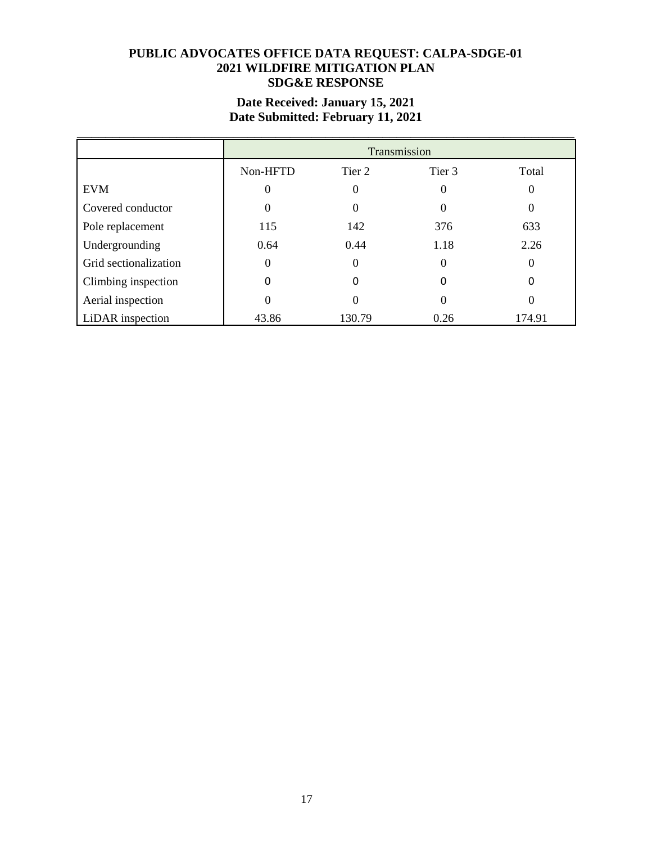# **Date Received: January 15, 2021 Date Submitted: February 11, 2021**

|                       |          | Transmission |          |          |  |
|-----------------------|----------|--------------|----------|----------|--|
|                       | Non-HFTD | Tier 2       | Tier 3   | Total    |  |
| <b>EVM</b>            | 0        | $\theta$     | 0        | 0        |  |
| Covered conductor     | 0        | 0            | $\Omega$ | 0        |  |
| Pole replacement      | 115      | 142          | 376      | 633      |  |
| Undergrounding        | 0.64     | 0.44         | 1.18     | 2.26     |  |
| Grid sectionalization | $\theta$ | $\theta$     | 0        | $\Omega$ |  |
| Climbing inspection   | 0        | 0            | 0        | O        |  |
| Aerial inspection     | $\theta$ | 0            |          | $\theta$ |  |
| LiDAR inspection      | 43.86    | 130.79       | 0.26     | 174.91   |  |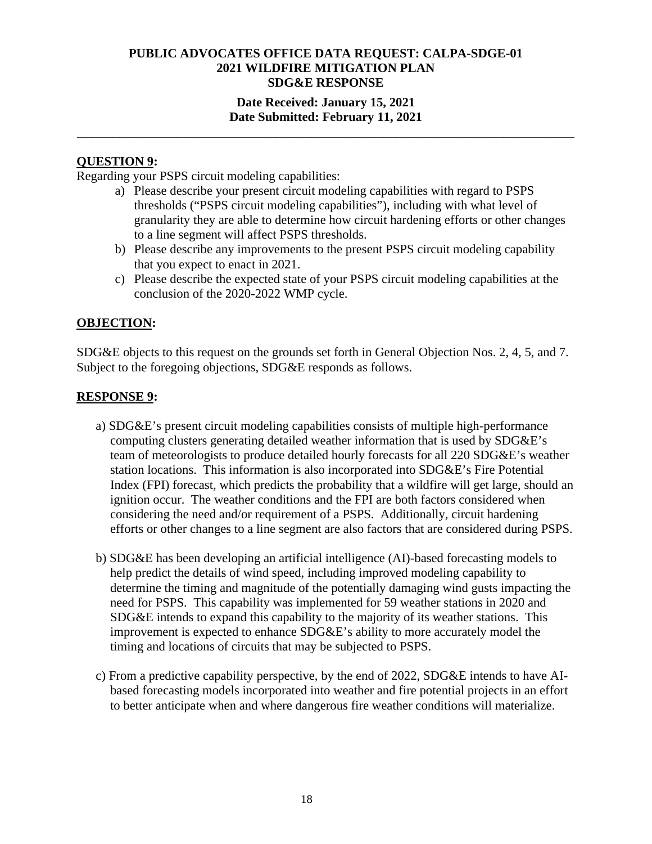## **Date Received: January 15, 2021 Date Submitted: February 11, 2021**

**\_\_\_\_\_\_\_\_\_\_\_\_\_\_\_\_\_\_\_\_\_\_\_\_\_\_\_\_\_\_\_\_\_\_\_\_\_\_\_\_\_\_\_\_\_\_\_\_\_\_\_\_\_\_\_\_\_\_\_\_\_\_\_\_\_\_\_\_\_\_** 

## **QUESTION 9:**

Regarding your PSPS circuit modeling capabilities:

- a) Please describe your present circuit modeling capabilities with regard to PSPS thresholds ("PSPS circuit modeling capabilities"), including with what level of granularity they are able to determine how circuit hardening efforts or other changes to a line segment will affect PSPS thresholds.
- b) Please describe any improvements to the present PSPS circuit modeling capability that you expect to enact in 2021.
- c) Please describe the expected state of your PSPS circuit modeling capabilities at the conclusion of the 2020-2022 WMP cycle.

## **OBJECTION:**

SDG&E objects to this request on the grounds set forth in General Objection Nos. 2, 4, 5, and 7. Subject to the foregoing objections, SDG&E responds as follows.

## **RESPONSE 9:**

- a) SDG&E's present circuit modeling capabilities consists of multiple high-performance computing clusters generating detailed weather information that is used by SDG&E's team of meteorologists to produce detailed hourly forecasts for all 220 SDG&E's weather station locations. This information is also incorporated into SDG&E's Fire Potential Index (FPI) forecast, which predicts the probability that a wildfire will get large, should an ignition occur. The weather conditions and the FPI are both factors considered when considering the need and/or requirement of a PSPS. Additionally, circuit hardening efforts or other changes to a line segment are also factors that are considered during PSPS.
- b) SDG&E has been developing an artificial intelligence (AI)-based forecasting models to help predict the details of wind speed, including improved modeling capability to determine the timing and magnitude of the potentially damaging wind gusts impacting the need for PSPS. This capability was implemented for 59 weather stations in 2020 and SDG&E intends to expand this capability to the majority of its weather stations. This improvement is expected to enhance SDG&E's ability to more accurately model the timing and locations of circuits that may be subjected to PSPS.
- c) From a predictive capability perspective, by the end of 2022, SDG&E intends to have AIbased forecasting models incorporated into weather and fire potential projects in an effort to better anticipate when and where dangerous fire weather conditions will materialize.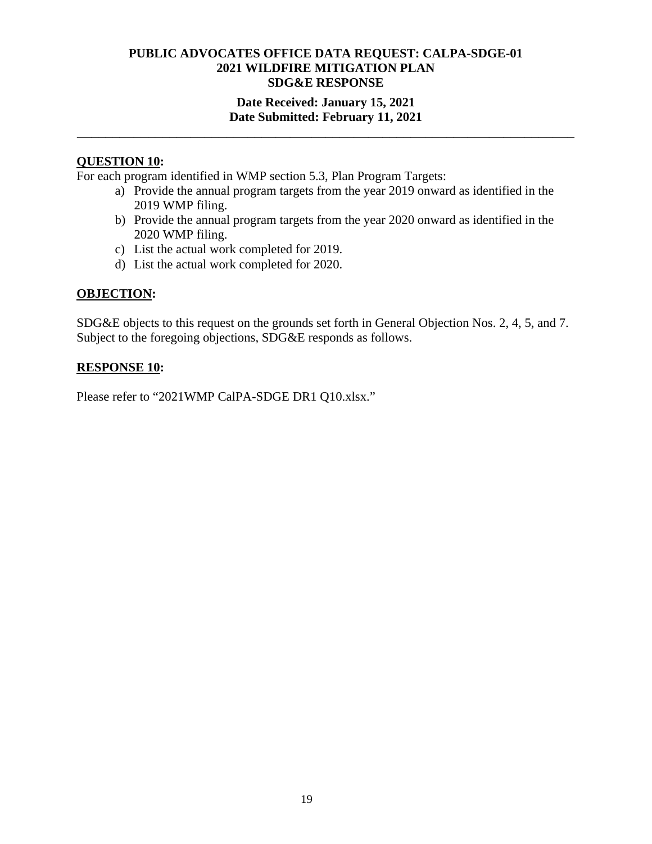## **Date Received: January 15, 2021 Date Submitted: February 11, 2021**

**\_\_\_\_\_\_\_\_\_\_\_\_\_\_\_\_\_\_\_\_\_\_\_\_\_\_\_\_\_\_\_\_\_\_\_\_\_\_\_\_\_\_\_\_\_\_\_\_\_\_\_\_\_\_\_\_\_\_\_\_\_\_\_\_\_\_\_\_\_\_** 

### **QUESTION 10:**

For each program identified in WMP section 5.3, Plan Program Targets:

- a) Provide the annual program targets from the year 2019 onward as identified in the 2019 WMP filing.
- b) Provide the annual program targets from the year 2020 onward as identified in the 2020 WMP filing.
- c) List the actual work completed for 2019.
- d) List the actual work completed for 2020.

## **OBJECTION:**

SDG&E objects to this request on the grounds set forth in General Objection Nos. 2, 4, 5, and 7. Subject to the foregoing objections, SDG&E responds as follows.

#### **RESPONSE 10:**

Please refer to "2021WMP CalPA-SDGE DR1 Q10.xlsx."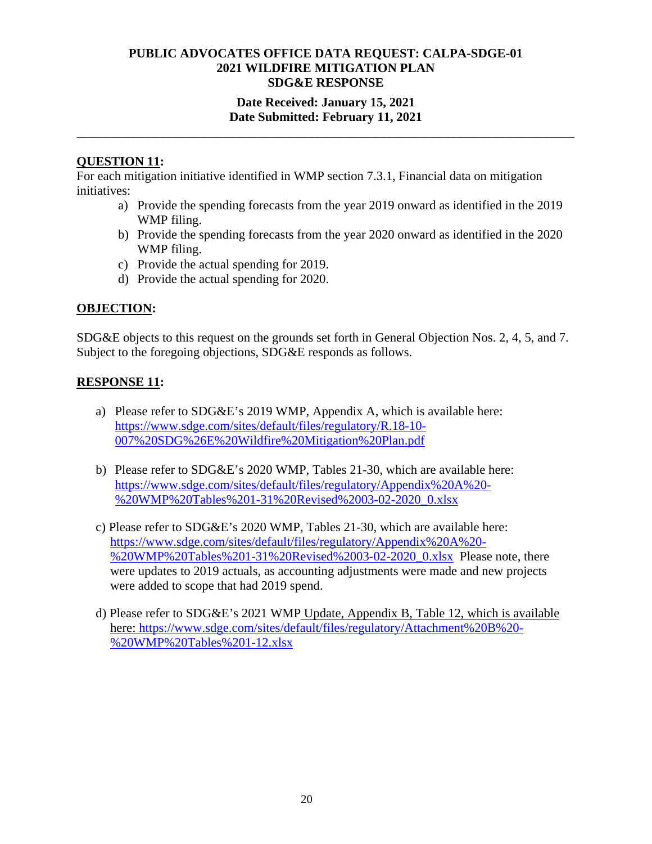## **Date Received: January 15, 2021 Date Submitted: February 11, 2021**

**\_\_\_\_\_\_\_\_\_\_\_\_\_\_\_\_\_\_\_\_\_\_\_\_\_\_\_\_\_\_\_\_\_\_\_\_\_\_\_\_\_\_\_\_\_\_\_\_\_\_\_\_\_\_\_\_\_\_\_\_\_\_\_\_\_\_\_\_\_\_** 

## **QUESTION 11:**

For each mitigation initiative identified in WMP section 7.3.1, Financial data on mitigation initiatives:

- a) Provide the spending forecasts from the year 2019 onward as identified in the 2019 WMP filing.
- b) Provide the spending forecasts from the year 2020 onward as identified in the 2020 WMP filing.
- c) Provide the actual spending for 2019.
- d) Provide the actual spending for 2020.

## **OBJECTION:**

SDG&E objects to this request on the grounds set forth in General Objection Nos. 2, 4, 5, and 7. Subject to the foregoing objections, SDG&E responds as follows.

## **RESPONSE 11:**

- a) Please refer to SDG&E's 2019 WMP, Appendix A, which is available here: https://www.sdge.com/sites/default/files/regulatory/R.18-10- 007%20SDG%26E%20Wildfire%20Mitigation%20Plan.pdf
- b) Please refer to SDG&E's 2020 WMP, Tables 21-30, which are available here: https://www.sdge.com/sites/default/files/regulatory/Appendix%20A%20- %20WMP%20Tables%201-31%20Revised%2003-02-2020\_0.xlsx
- c) Please refer to SDG&E's 2020 WMP, Tables 21-30, which are available here: https://www.sdge.com/sites/default/files/regulatory/Appendix%20A%20- %20WMP%20Tables%201-31%20Revised%2003-02-2020\_0.xlsx Please note, there were updates to 2019 actuals, as accounting adjustments were made and new projects were added to scope that had 2019 spend.
- d) Please refer to SDG&E's 2021 WMP Update, Appendix B, Table 12, which is available here: https://www.sdge.com/sites/default/files/regulatory/Attachment%20B%20-%20WMP%20Tables%201-12.xlsx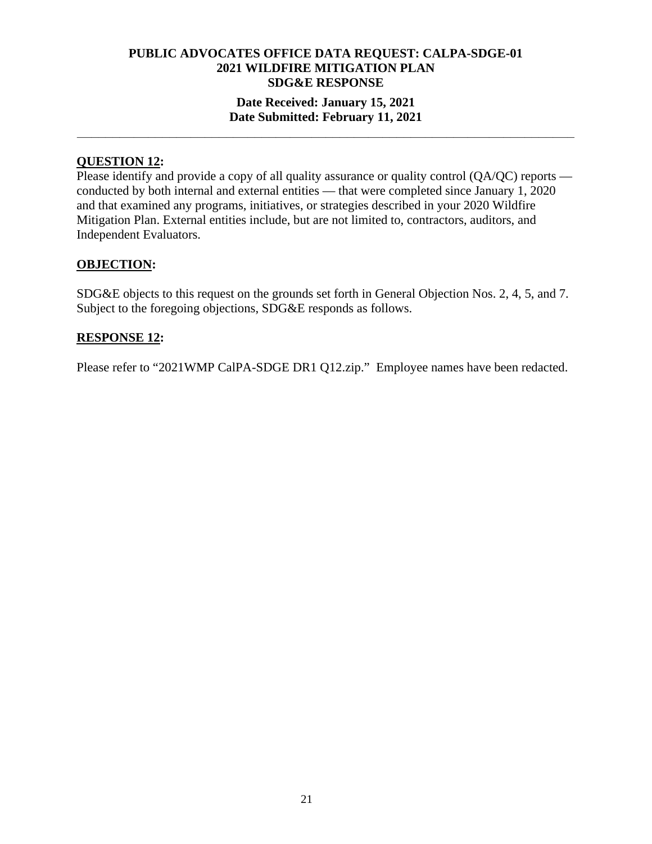## **Date Received: January 15, 2021 Date Submitted: February 11, 2021**

**\_\_\_\_\_\_\_\_\_\_\_\_\_\_\_\_\_\_\_\_\_\_\_\_\_\_\_\_\_\_\_\_\_\_\_\_\_\_\_\_\_\_\_\_\_\_\_\_\_\_\_\_\_\_\_\_\_\_\_\_\_\_\_\_\_\_\_\_\_\_** 

# **QUESTION 12:**

Please identify and provide a copy of all quality assurance or quality control (QA/QC) reports conducted by both internal and external entities — that were completed since January 1, 2020 and that examined any programs, initiatives, or strategies described in your 2020 Wildfire Mitigation Plan. External entities include, but are not limited to, contractors, auditors, and Independent Evaluators.

## **OBJECTION:**

SDG&E objects to this request on the grounds set forth in General Objection Nos. 2, 4, 5, and 7. Subject to the foregoing objections, SDG&E responds as follows.

#### **RESPONSE 12:**

Please refer to "2021WMP CalPA-SDGE DR1 Q12.zip." Employee names have been redacted.